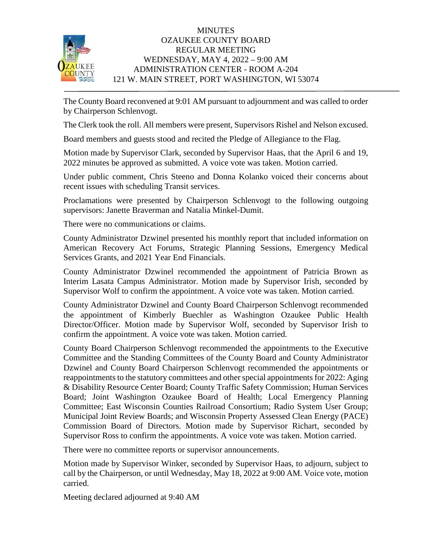

## **MINUTES** OZAUKEE COUNTY BOARD REGULAR MEETING WEDNESDAY, MAY 4, 2022 – 9:00 AM ADMINISTRATION CENTER - ROOM A-204 121 W. MAIN STREET, PORT WASHINGTON, WI 53074

The County Board reconvened at 9:01 AM pursuant to adjournment and was called to order by Chairperson Schlenvogt.

The Clerk took the roll. All members were present, Supervisors Rishel and Nelson excused.

Board members and guests stood and recited the Pledge of Allegiance to the Flag.

Motion made by Supervisor Clark, seconded by Supervisor Haas, that the April 6 and 19, 2022 minutes be approved as submitted. A voice vote was taken. Motion carried.

Under public comment, Chris Steeno and Donna Kolanko voiced their concerns about recent issues with scheduling Transit services.

Proclamations were presented by Chairperson Schlenvogt to the following outgoing supervisors: Janette Braverman and Natalia Minkel-Dumit.

There were no communications or claims.

County Administrator Dzwinel presented his monthly report that included information on American Recovery Act Forums, Strategic Planning Sessions, Emergency Medical Services Grants, and 2021 Year End Financials.

County Administrator Dzwinel recommended the appointment of Patricia Brown as Interim Lasata Campus Administrator. Motion made by Supervisor Irish, seconded by Supervisor Wolf to confirm the appointment. A voice vote was taken. Motion carried.

County Administrator Dzwinel and County Board Chairperson Schlenvogt recommended the appointment of Kimberly Buechler as Washington Ozaukee Public Health Director/Officer. Motion made by Supervisor Wolf, seconded by Supervisor Irish to confirm the appointment. A voice vote was taken. Motion carried.

County Board Chairperson Schlenvogt recommended the appointments to the Executive Committee and the Standing Committees of the County Board and County Administrator Dzwinel and County Board Chairperson Schlenvogt recommended the appointments or reappointments to the statutory committees and other special appointments for 2022: Aging & Disability Resource Center Board; County Traffic Safety Commission; Human Services Board; Joint Washington Ozaukee Board of Health; Local Emergency Planning Committee; East Wisconsin Counties Railroad Consortium; Radio System User Group; Municipal Joint Review Boards; and Wisconsin Property Assessed Clean Energy (PACE) Commission Board of Directors. Motion made by Supervisor Richart, seconded by Supervisor Ross to confirm the appointments. A voice vote was taken. Motion carried.

There were no committee reports or supervisor announcements.

Motion made by Supervisor Winker, seconded by Supervisor Haas, to adjourn, subject to call by the Chairperson, or until Wednesday, May 18, 2022 at 9:00 AM. Voice vote, motion carried.

Meeting declared adjourned at 9:40 AM